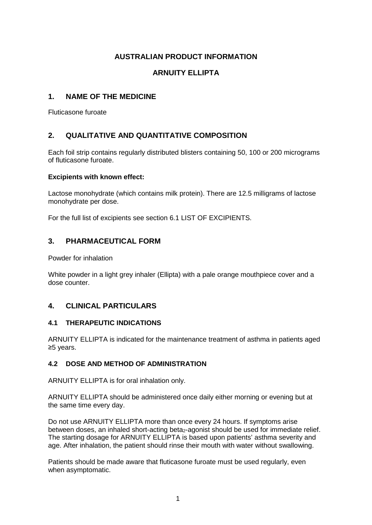# **AUSTRALIAN PRODUCT INFORMATION**

# **ARNUITY ELLIPTA**

# **1. NAME OF THE MEDICINE**

Fluticasone furoate

# **2. QUALITATIVE AND QUANTITATIVE COMPOSITION**

Each foil strip contains regularly distributed blisters containing 50, 100 or 200 micrograms of fluticasone furoate.

### **Excipients with known effect:**

Lactose monohydrate (which contains milk protein). There are 12.5 milligrams of lactose monohydrate per dose.

For the full list of excipients see section 6.1 LIST OF EXCIPIENTS.

# **3. PHARMACEUTICAL FORM**

Powder for inhalation

White powder in a light grey inhaler (Ellipta) with a pale orange mouthpiece cover and a dose counter.

# **4. CLINICAL PARTICULARS**

# **4.1 THERAPEUTIC INDICATIONS**

ARNUITY ELLIPTA is indicated for the maintenance treatment of asthma in patients aged ≥5 years.

# **4.2 DOSE AND METHOD OF ADMINISTRATION**

ARNUITY ELLIPTA is for oral inhalation only.

ARNUITY ELLIPTA should be administered once daily either morning or evening but at the same time every day.

Do not use ARNUITY ELLIPTA more than once every 24 hours. If symptoms arise between doses, an inhaled short-acting beta<sub>2</sub>-agonist should be used for immediate relief. The starting dosage for ARNUITY ELLIPTA is based upon patients' asthma severity and age. After inhalation, the patient should rinse their mouth with water without swallowing.

Patients should be made aware that fluticasone furoate must be used regularly, even when asymptomatic.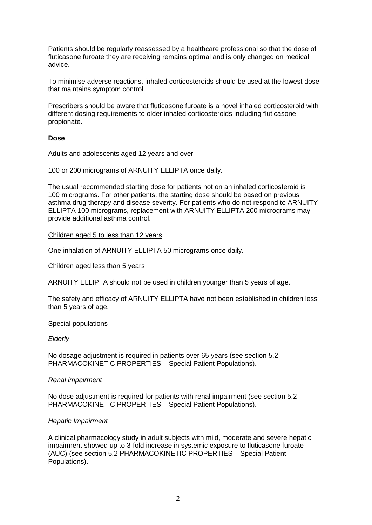Patients should be regularly reassessed by a healthcare professional so that the dose of fluticasone furoate they are receiving remains optimal and is only changed on medical advice.

To minimise adverse reactions, inhaled corticosteroids should be used at the lowest dose that maintains symptom control.

Prescribers should be aware that fluticasone furoate is a novel inhaled corticosteroid with different dosing requirements to older inhaled corticosteroids including fluticasone propionate.

#### **Dose**

#### Adults and adolescents aged 12 years and over

100 or 200 micrograms of ARNUITY ELLIPTA once daily.

The usual recommended starting dose for patients not on an inhaled corticosteroid is 100 micrograms. For other patients, the starting dose should be based on previous asthma drug therapy and disease severity. For patients who do not respond to ARNUITY ELLIPTA 100 micrograms, replacement with ARNUITY ELLIPTA 200 micrograms may provide additional asthma control.

#### Children aged 5 to less than 12 years

One inhalation of ARNUITY ELLIPTA 50 micrograms once daily.

#### Children aged less than 5 years

ARNUITY ELLIPTA should not be used in children younger than 5 years of age.

The safety and efficacy of ARNUITY ELLIPTA have not been established in children less than 5 years of age.

#### Special populations

### *Elderly*

No dosage adjustment is required in patients over 65 years (see section 5.2 PHARMACOKINETIC PROPERTIES – Special Patient Populations).

#### *Renal impairment*

No dose adjustment is required for patients with renal impairment (see section 5.2 PHARMACOKINETIC PROPERTIES – Special Patient Populations).

#### *Hepatic Impairment*

A clinical pharmacology study in adult subjects with mild, moderate and severe hepatic impairment showed up to 3-fold increase in systemic exposure to fluticasone furoate (AUC) (see section 5.2 PHARMACOKINETIC PROPERTIES – Special Patient Populations).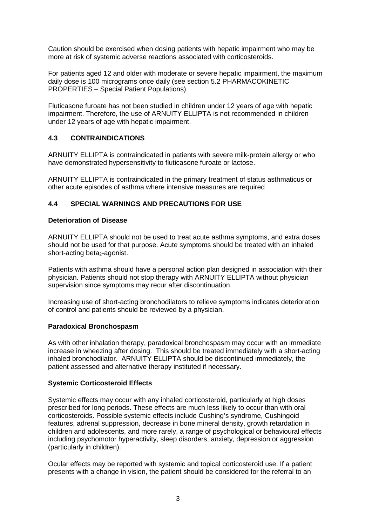Caution should be exercised when dosing patients with hepatic impairment who may be more at risk of systemic adverse reactions associated with corticosteroids.

For patients aged 12 and older with moderate or severe hepatic impairment, the maximum daily dose is 100 micrograms once daily (see section 5.2 PHARMACOKINETIC PROPERTIES – Special Patient Populations).

Fluticasone furoate has not been studied in children under 12 years of age with hepatic impairment. Therefore, the use of ARNUITY ELLIPTA is not recommended in children under 12 years of age with hepatic impairment.

# **4.3 CONTRAINDICATIONS**

ARNUITY ELLIPTA is contraindicated in patients with severe milk-protein allergy or who have demonstrated hypersensitivity to fluticasone furoate or lactose.

ARNUITY ELLIPTA is contraindicated in the primary treatment of status asthmaticus or other acute episodes of asthma where intensive measures are required

# **4.4 SPECIAL WARNINGS AND PRECAUTIONS FOR USE**

### **Deterioration of Disease**

ARNUITY ELLIPTA should not be used to treat acute asthma symptoms, and extra doses should not be used for that purpose. Acute symptoms should be treated with an inhaled short-acting beta $2$ -agonist.

Patients with asthma should have a personal action plan designed in association with their physician. Patients should not stop therapy with ARNUITY ELLIPTA without physician supervision since symptoms may recur after discontinuation.

Increasing use of short-acting bronchodilators to relieve symptoms indicates deterioration of control and patients should be reviewed by a physician.

# **Paradoxical Bronchospasm**

As with other inhalation therapy, paradoxical bronchospasm may occur with an immediate increase in wheezing after dosing. This should be treated immediately with a short-acting inhaled bronchodilator. ARNUITY ELLIPTA should be discontinued immediately, the patient assessed and alternative therapy instituted if necessary.

# **Systemic Corticosteroid Effects**

Systemic effects may occur with any inhaled corticosteroid, particularly at high doses prescribed for long periods. These effects are much less likely to occur than with oral corticosteroids. Possible systemic effects include Cushing's syndrome, Cushingoid features, adrenal suppression, decrease in bone mineral density, growth retardation in children and adolescents, and more rarely, a range of psychological or behavioural effects including psychomotor hyperactivity, sleep disorders, anxiety, depression or aggression (particularly in children).

Ocular effects may be reported with systemic and topical corticosteroid use. If a patient presents with a change in vision, the patient should be considered for the referral to an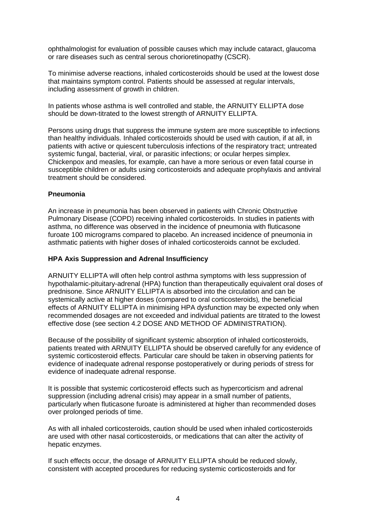ophthalmologist for evaluation of possible causes which may include cataract, glaucoma or rare diseases such as central serous chorioretinopathy (CSCR).

To minimise adverse reactions, inhaled corticosteroids should be used at the lowest dose that maintains symptom control. Patients should be assessed at regular intervals, including assessment of growth in children.

In patients whose asthma is well controlled and stable, the ARNUITY ELLIPTA dose should be down-titrated to the lowest strength of ARNUITY ELLIPTA.

Persons using drugs that suppress the immune system are more susceptible to infections than healthy individuals. Inhaled corticosteroids should be used with caution, if at all, in patients with active or quiescent tuberculosis infections of the respiratory tract; untreated systemic fungal, bacterial, viral, or parasitic infections; or ocular herpes simplex. Chickenpox and measles, for example, can have a more serious or even fatal course in susceptible children or adults using corticosteroids and adequate prophylaxis and antiviral treatment should be considered.

#### **Pneumonia**

An increase in pneumonia has been observed in patients with Chronic Obstructive Pulmonary Disease (COPD) receiving inhaled corticosteroids. In studies in patients with asthma, no difference was observed in the incidence of pneumonia with fluticasone furoate 100 micrograms compared to placebo. An increased incidence of pneumonia in asthmatic patients with higher doses of inhaled corticosteroids cannot be excluded.

#### **HPA Axis Suppression and Adrenal Insufficiency**

ARNUITY ELLIPTA will often help control asthma symptoms with less suppression of hypothalamic-pituitary-adrenal (HPA) function than therapeutically equivalent oral doses of prednisone. Since ARNUITY ELLIPTA is absorbed into the circulation and can be systemically active at higher doses (compared to oral corticosteroids)*,* the beneficial effects of ARNUITY ELLIPTA in minimising HPA dysfunction may be expected only when recommended dosages are not exceeded and individual patients are titrated to the lowest effective dose (see section 4.2 DOSE AND METHOD OF ADMINISTRATION).

Because of the possibility of significant systemic absorption of inhaled corticosteroids, patients treated with ARNUITY ELLIPTA should be observed carefully for any evidence of systemic corticosteroid effects. Particular care should be taken in observing patients for evidence of inadequate adrenal response postoperatively or during periods of stress for evidence of inadequate adrenal response.

It is possible that systemic corticosteroid effects such as hypercorticism and adrenal suppression (including adrenal crisis) may appear in a small number of patients, particularly when fluticasone furoate is administered at higher than recommended doses over prolonged periods of time.

As with all inhaled corticosteroids, caution should be used when inhaled corticosteroids are used with other nasal corticosteroids, or medications that can alter the activity of hepatic enzymes.

If such effects occur, the dosage of ARNUITY ELLIPTA should be reduced slowly, consistent with accepted procedures for reducing systemic corticosteroids and for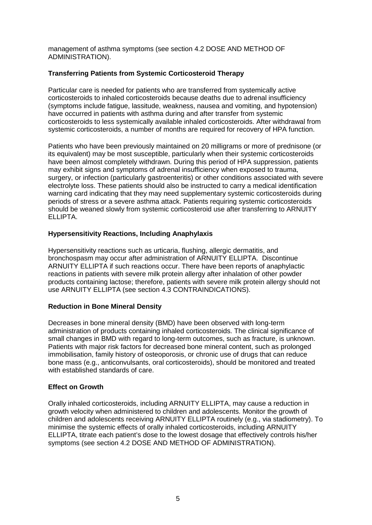management of asthma symptoms (see section 4.2 DOSE AND METHOD OF ADMINISTRATION).

### **Transferring Patients from Systemic Corticosteroid Therapy**

Particular care is needed for patients who are transferred from systemically active corticosteroids to inhaled corticosteroids because deaths due to adrenal insufficiency (symptoms include fatigue, lassitude, weakness, nausea and vomiting, and hypotension) have occurred in patients with asthma during and after transfer from systemic corticosteroids to less systemically available inhaled corticosteroids. After withdrawal from systemic corticosteroids, a number of months are required for recovery of HPA function.

Patients who have been previously maintained on 20 milligrams or more of prednisone (or its equivalent) may be most susceptible, particularly when their systemic corticosteroids have been almost completely withdrawn. During this period of HPA suppression, patients may exhibit signs and symptoms of adrenal insufficiency when exposed to trauma, surgery, or infection (particularly gastroenteritis) or other conditions associated with severe electrolyte loss. These patients should also be instructed to carry a medical identification warning card indicating that they may need supplementary systemic corticosteroids during periods of stress or a severe asthma attack. Patients requiring systemic corticosteroids should be weaned slowly from systemic corticosteroid use after transferring to ARNUITY ELLIPTA.

### **Hypersensitivity Reactions, Including Anaphylaxis**

Hypersensitivity reactions such as urticaria, flushing, allergic dermatitis, and bronchospasm may occur after administration of ARNUITY ELLIPTA. Discontinue ARNUITY ELLIPTA if such reactions occur. There have been reports of anaphylactic reactions in patients with severe milk protein allergy after inhalation of other powder products containing lactose; therefore, patients with severe milk protein allergy should not use ARNUITY ELLIPTA (see section 4.3 CONTRAINDICATIONS).

### **Reduction in Bone Mineral Density**

Decreases in bone mineral density (BMD) have been observed with long-term administration of products containing inhaled corticosteroids. The clinical significance of small changes in BMD with regard to long-term outcomes, such as fracture, is unknown. Patients with major risk factors for decreased bone mineral content, such as prolonged immobilisation, family history of osteoporosis, or chronic use of drugs that can reduce bone mass (e.g., anticonvulsants, oral corticosteroids), should be monitored and treated with established standards of care.

### **Effect on Growth**

Orally inhaled corticosteroids, including ARNUITY ELLIPTA, may cause a reduction in growth velocity when administered to children and adolescents. Monitor the growth of children and adolescents receiving ARNUITY ELLIPTA routinely (e.g., via stadiometry). To minimise the systemic effects of orally inhaled corticosteroids, including ARNUITY ELLIPTA, titrate each patient's dose to the lowest dosage that effectively controls his/her symptoms (see section 4.2 DOSE AND METHOD OF ADMINISTRATION).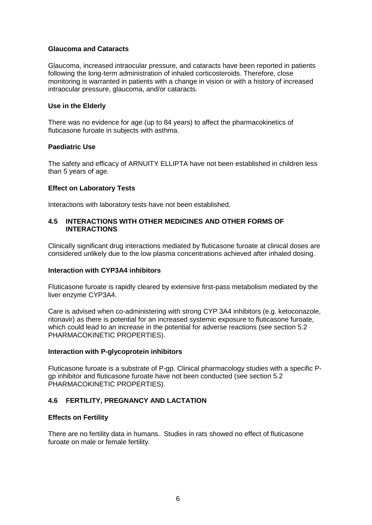#### **Glaucoma and Cataracts**

Glaucoma, increased intraocular pressure, and cataracts have been reported in patients following the long-term administration of inhaled corticosteroids. Therefore, close monitoring is warranted in patients with a change in vision or with a history of increased intraocular pressure, glaucoma, and/or cataracts.

### **Use in the Elderly**

There was no evidence for age (up to 84 years) to affect the pharmacokinetics of fluticasone furoate in subjects with asthma.

#### **Paediatric Use**

The safety and efficacy of ARNUITY ELLIPTA have not been established in children less than 5 years of age.

#### **Effect on Laboratory Tests**

Interactions with laboratory tests have not been established.

### **4.5 INTERACTIONS WITH OTHER MEDICINES AND OTHER FORMS OF INTERACTIONS**

Clinically significant drug interactions mediated by fluticasone furoate at clinical doses are considered unlikely due to the low plasma concentrations achieved after inhaled dosing.

### **Interaction with CYP3A4 inhibitors**

Fluticasone furoate is rapidly cleared by extensive first-pass metabolism mediated by the liver enzyme CYP3A4.

Care is advised when co-administering with strong CYP 3A4 inhibitors (e.g. ketoconazole, ritonavir) as there is potential for an increased systemic exposure to fluticasone furoate, which could lead to an increase in the potential for adverse reactions (see section 5.2 PHARMACOKINETIC PROPERTIES).

### **Interaction with P-glycoprotein inhibitors**

Fluticasone furoate is a substrate of P-gp. Clinical pharmacology studies with a specific Pgp inhibitor and fluticasone furoate have not been conducted (see section 5.2 PHARMACOKINETIC PROPERTIES).

### **4.6 FERTILITY, PREGNANCY AND LACTATION**

### **Effects on Fertility**

There are no fertility data in humans. Studies in rats showed no effect of fluticasone furoate on male or female fertility*.*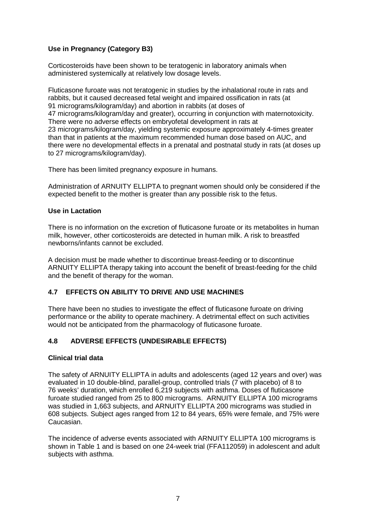### **Use in Pregnancy (Category B3)**

Corticosteroids have been shown to be teratogenic in laboratory animals when administered systemically at relatively low dosage levels.

Fluticasone furoate was not teratogenic in studies by the inhalational route in rats and rabbits, but it caused decreased fetal weight and impaired ossification in rats (at 91 micrograms/kilogram/day) and abortion in rabbits (at doses of 47 micrograms/kilogram/day and greater), occurring in conjunction with maternotoxicity. There were no adverse effects on embryofetal development in rats at 23 micrograms/kilogram/day, yielding systemic exposure approximately 4-times greater than that in patients at the maximum recommended human dose based on AUC, and there were no developmental effects in a prenatal and postnatal study in rats (at doses up to 27 micrograms/kilogram/day).

There has been limited pregnancy exposure in humans.

Administration of ARNUITY ELLIPTA to pregnant women should only be considered if the expected benefit to the mother is greater than any possible risk to the fetus.

### **Use in Lactation**

There is no information on the excretion of fluticasone furoate or its metabolites in human milk, however, other corticosteroids are detected in human milk. A risk to breastfed newborns/infants cannot be excluded.

A decision must be made whether to discontinue breast-feeding or to discontinue ARNUITY ELLIPTA therapy taking into account the benefit of breast-feeding for the child and the benefit of therapy for the woman.

# **4.7 EFFECTS ON ABILITY TO DRIVE AND USE MACHINES**

There have been no studies to investigate the effect of fluticasone furoate on driving performance or the ability to operate machinery. A detrimental effect on such activities would not be anticipated from the pharmacology of fluticasone furoate.

# **4.8 ADVERSE EFFECTS (UNDESIRABLE EFFECTS)**

### **Clinical trial data**

The safety of ARNUITY ELLIPTA in adults and adolescents (aged 12 years and over) was evaluated in 10 double-blind, parallel-group, controlled trials (7 with placebo) of 8 to 76 weeks' duration, which enrolled 6,219 subjects with asthma. Doses of fluticasone furoate studied ranged from 25 to 800 micrograms. ARNUITY ELLIPTA 100 micrograms was studied in 1,663 subjects, and ARNUITY ELLIPTA 200 micrograms was studied in 608 subjects. Subject ages ranged from 12 to 84 years, 65% were female, and 75% were Caucasian.

The incidence of adverse events associated with ARNUITY ELLIPTA 100 micrograms is shown in Table 1 and is based on one 24-week trial (FFA112059) in adolescent and adult subjects with asthma.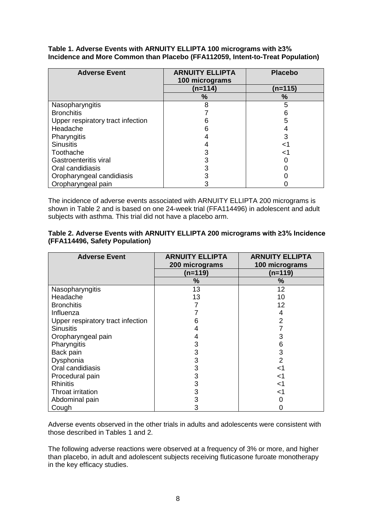| <b>Adverse Event</b>              | <b>ARNUITY ELLIPTA</b><br>100 micrograms | <b>Placebo</b> |
|-----------------------------------|------------------------------------------|----------------|
|                                   | (n=114)                                  | (n=115)        |
|                                   | %                                        | %              |
| Nasopharyngitis                   |                                          | 5              |
| <b>Bronchitis</b>                 |                                          |                |
| Upper respiratory tract infection |                                          | 5              |
| Headache                          |                                          |                |
| Pharyngitis                       |                                          |                |
| <b>Sinusitis</b>                  |                                          | <1             |
| Toothache                         |                                          | ا>             |
| Gastroenteritis viral             |                                          |                |
| Oral candidiasis                  |                                          |                |
| Oropharyngeal candidiasis         |                                          |                |
| Oropharyngeal pain                |                                          |                |

### **Table 1. Adverse Events with ARNUITY ELLIPTA 100 micrograms with ≥3% Incidence and More Common than Placebo (FFA112059, Intent-to-Treat Population)**

The incidence of adverse events associated with ARNUITY ELLIPTA 200 micrograms is shown in Table 2 and is based on one 24-week trial (FFA114496) in adolescent and adult subjects with asthma. This trial did not have a placebo arm.

| Table 2. Adverse Events with ARNUITY ELLIPTA 200 micrograms with ≥3% Incidence |  |  |
|--------------------------------------------------------------------------------|--|--|
| (FFA114496, Safety Population)                                                 |  |  |

| <b>Adverse Event</b>              | <b>ARNUITY ELLIPTA</b><br>200 micrograms | <b>ARNUITY ELLIPTA</b><br>100 micrograms |
|-----------------------------------|------------------------------------------|------------------------------------------|
|                                   | (n=119)                                  | (n=119)                                  |
|                                   | %                                        | ℅                                        |
| Nasopharyngitis                   | 13                                       | 12                                       |
| Headache                          | 13                                       | 10                                       |
| <b>Bronchitis</b>                 |                                          | 12                                       |
| Influenza                         |                                          | 4                                        |
| Upper respiratory tract infection | 6                                        | 2                                        |
| <b>Sinusitis</b>                  | 4                                        |                                          |
| Oropharyngeal pain                | 4                                        | 3                                        |
| Pharyngitis                       | 3                                        | 6                                        |
| Back pain                         | 3                                        | 3                                        |
| Dysphonia                         | 3                                        | 2                                        |
| Oral candidiasis                  | 3                                        | <1                                       |
| Procedural pain                   | 3                                        | <1                                       |
| <b>Rhinitis</b>                   | 3                                        | <1                                       |
| Throat irritation                 | 3                                        | ا>                                       |
| Abdominal pain                    | 3                                        |                                          |
| Cough                             | 3                                        |                                          |

Adverse events observed in the other trials in adults and adolescents were consistent with those described in Tables 1 and 2.

The following adverse reactions were observed at a frequency of 3% or more, and higher than placebo, in adult and adolescent subjects receiving fluticasone furoate monotherapy in the key efficacy studies.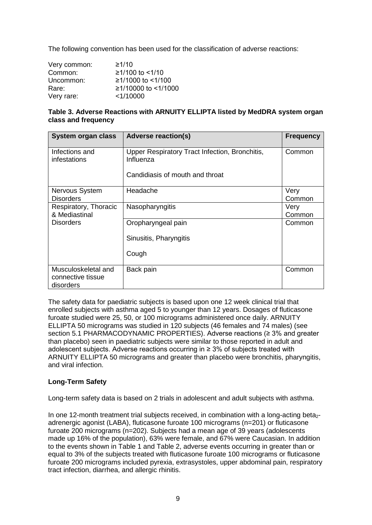The following convention has been used for the classification of adverse reactions:

| Very common: | $\geq 1/10$             |
|--------------|-------------------------|
| Common:      | $≥1/100$ to <1/10       |
| Uncommon:    | $≥1/1000$ to <1/100     |
| Rare:        | $≥1/10000$ to $≤1/1000$ |
| Very rare:   | $<$ 1/10000             |

### **Table 3. Adverse Reactions with ARNUITY ELLIPTA listed by MedDRA system organ class and frequency**

| <b>System organ class</b>                             | <b>Adverse reaction(s)</b>                                  | <b>Frequency</b> |
|-------------------------------------------------------|-------------------------------------------------------------|------------------|
| Infections and<br>infestations                        | Upper Respiratory Tract Infection, Bronchitis,<br>Influenza | Common           |
|                                                       | Candidiasis of mouth and throat                             |                  |
| Nervous System<br><b>Disorders</b>                    | Headache                                                    | Very<br>Common   |
| Respiratory, Thoracic<br>& Mediastinal                | Nasopharyngitis                                             | Very<br>Common   |
| <b>Disorders</b>                                      | Oropharyngeal pain                                          | Common           |
|                                                       | Sinusitis, Pharyngitis                                      |                  |
|                                                       | Cough                                                       |                  |
| Musculoskeletal and<br>connective tissue<br>disorders | Back pain                                                   | Common           |

The safety data for paediatric subjects is based upon one 12 week clinical trial that enrolled subjects with asthma aged 5 to younger than 12 years. Dosages of fluticasone furoate studied were 25, 50, or 100 micrograms administered once daily. ARNUITY ELLIPTA 50 micrograms was studied in 120 subjects (46 females and 74 males) (see section 5.1 PHARMACODYNAMIC PROPERTIES). Adverse reactions (≥ 3% and greater than placebo) seen in paediatric subjects were similar to those reported in adult and adolescent subjects. Adverse reactions occurring in  $\geq$  3% of subjects treated with ARNUITY ELLIPTA 50 micrograms and greater than placebo were bronchitis, pharyngitis, and viral infection.

# **Long-Term Safety**

Long-term safety data is based on 2 trials in adolescent and adult subjects with asthma.

In one 12-month treatment trial subjects received, in combination with a long-acting beta<sub>2</sub>adrenergic agonist (LABA), fluticasone furoate 100 micrograms (n=201) or fluticasone furoate 200 micrograms (n=202). Subjects had a mean age of 39 years (adolescents made up 16% of the population), 63% were female, and 67% were Caucasian. In addition to the events shown in Table 1 and Table 2, adverse events occurring in greater than or equal to 3% of the subjects treated with fluticasone furoate 100 micrograms or fluticasone furoate 200 micrograms included pyrexia, extrasystoles, upper abdominal pain, respiratory tract infection, diarrhea, and allergic rhinitis.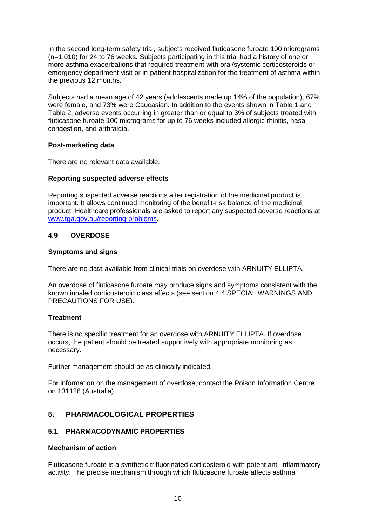In the second long-term safety trial, subjects received fluticasone furoate 100 micrograms (n=1,010) for 24 to 76 weeks. Subjects participating in this trial had a history of one or more asthma exacerbations that required treatment with oral/systemic corticosteroids or emergency department visit or in-patient hospitalization for the treatment of asthma within the previous 12 months.

Subjects had a mean age of 42 years (adolescents made up 14% of the population), 67% were female, and 73% were Caucasian. In addition to the events shown in Table 1 and Table 2, adverse events occurring in greater than or equal to 3% of subjects treated with fluticasone furoate 100 micrograms for up to 76 weeks included allergic rhinitis, nasal congestion, and arthralgia.

### **Post-marketing data**

There are no relevant data available.

### **Reporting suspected adverse effects**

Reporting suspected adverse reactions after registration of the medicinal product is important. It allows continued monitoring of the benefit-risk balance of the medicinal product. Healthcare professionals are asked to report any suspected adverse reactions at [www.tga.gov.au/reporting-problems.](file://abbdsntp001.corpnet2.com/directorates/Healthcare%20Environment/Regulatory%20Affairs/Working%20Docs/Arnuity/2018a_CAT1_Paed%20asthma/07%20Other%20Agency%20Documents/PI%20negotiations/www.tga.gov.au/reporting-problems)

# **4.9 OVERDOSE**

### **Symptoms and signs**

There are no data available from clinical trials on overdose with ARNUITY ELLIPTA.

An overdose of fluticasone furoate may produce signs and symptoms consistent with the known inhaled corticosteroid class effects (see section 4.4 SPECIAL WARNINGS AND PRECAUTIONS FOR USE).

# **Treatment**

There is no specific treatment for an overdose with ARNUITY ELLIPTA. If overdose occurs, the patient should be treated supportively with appropriate monitoring as necessary.

Further management should be as clinically indicated.

For information on the management of overdose, contact the Poison Information Centre on 131126 (Australia).

# **5. PHARMACOLOGICAL PROPERTIES**

# **5.1 PHARMACODYNAMIC PROPERTIES**

### **Mechanism of action**

Fluticasone furoate is a synthetic trifluorinated corticosteroid with potent anti-inflammatory activity. The precise mechanism through which fluticasone furoate affects asthma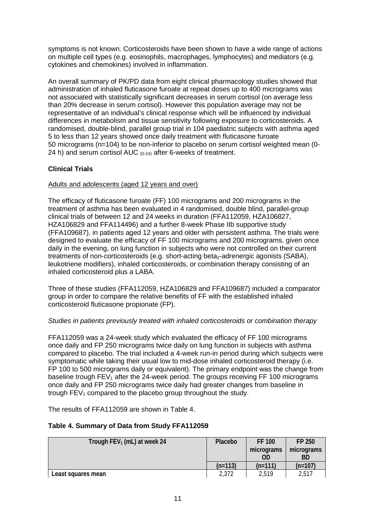symptoms is not known. Corticosteroids have been shown to have a wide range of actions on multiple cell types (e.g. eosinophils, macrophages, lymphocytes) and mediators (e.g. cytokines and chemokines) involved in inflammation.

An overall summary of PK/PD data from eight clinical pharmacology studies showed that administration of inhaled fluticasone furoate at repeat doses up to 400 micrograms was not associated with statistically significant decreases in serum cortisol (on average less than 20% decrease in serum cortisol). However this population average may not be representative of an individual's clinical response which will be influenced by individual differences in metabolism and tissue sensitivity following exposure to corticosteroids. A randomised, double-blind, parallel group trial in 104 paediatric subjects with asthma aged 5 to less than 12 years showed once daily treatment with fluticasone furoate 50 micrograms (n=104) to be non-inferior to placebo on serum cortisol weighted mean (0- 24 h) and serum cortisol AUC  $(0.24)$  after 6-weeks of treatment.

# **Clinical Trials**

# Adults and adolescents (aged 12 years and over)

The efficacy of fluticasone furoate (FF) 100 micrograms and 200 micrograms in the treatment of asthma has been evaluated in 4 randomised, double blind, parallel-group clinical trials of between 12 and 24 weeks in duration (FFA112059, HZA106827, HZA106829 and FFA114496) and a further 8-week Phase IIb supportive study (FFA109687), in patients aged 12 years and older with persistent asthma. The trials were designed to evaluate the efficacy of FF 100 micrograms and 200 micrograms, given once daily in the evening, on lung function in subjects who were not controlled on their current treatments of non-corticosteroids (e.g. short-acting beta<sub>2</sub>-adrenergic agonists (SABA), leukotriene modifiers), inhaled corticosteroids, or combination therapy consisting of an inhaled corticosteroid plus a LABA.

Three of these studies (FFA112059, HZA106829 and FFA109687) included a comparator group in order to compare the relative benefits of FF with the established inhaled corticosteroid fluticasone propionate (FP).

# *Studies in patients previously treated with inhaled corticosteroids or combination therapy*

FFA112059 was a 24-week study which evaluated the efficacy of FF 100 micrograms once daily and FP 250 micrograms twice daily on lung function in subjects with asthma compared to placebo. The trial included a 4-week run-in period during which subjects were symptomatic while taking their usual low to mid-dose inhaled corticosteroid therapy (i.e. FP 100 to 500 micrograms daily or equivalent). The primary endpoint was the change from baseline trough  $FEV<sub>1</sub>$  after the 24-week period. The groups receiving FF 100 micrograms once daily and FP 250 micrograms twice daily had greater changes from baseline in trough FEV<sub>1</sub> compared to the placebo group throughout the study.

The results of FFA112059 are shown in Table 4.

# **Table 4. Summary of Data from Study FFA112059**

| Trough FEV <sub>1</sub> (mL) at week 24 | <b>Placebo</b> | FF 100     | FP 250     |
|-----------------------------------------|----------------|------------|------------|
|                                         |                | micrograms | micrograms |
|                                         |                | OD         | BD         |
|                                         | $(n=113)$      | $(n=111)$  | $(n=107)$  |
| Least squares mean                      | 2,372          | 2,519      | 2,517      |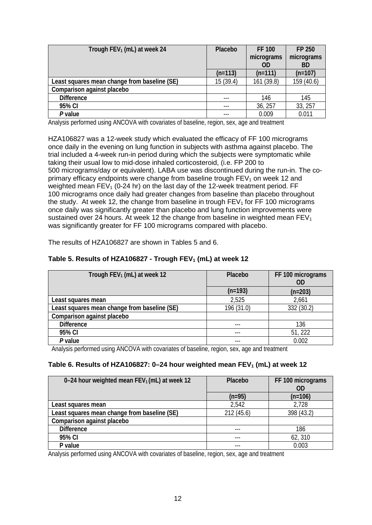| Trough $FEV_1$ (mL) at week 24               | <b>FF 100</b><br>Placebo<br>micrograms<br>0D |            | FP 250<br>micrograms<br>BD |
|----------------------------------------------|----------------------------------------------|------------|----------------------------|
|                                              | $(n=113)$                                    | $(n=111)$  | $(n=107)$                  |
| Least squares mean change from baseline (SE) | 15 (39.4)                                    | 161 (39.8) | 159 (40.6)                 |
| Comparison against placebo                   |                                              |            |                            |
| <b>Difference</b>                            |                                              | 146        | 145                        |
| 95% CI                                       |                                              | 36, 257    | 33, 257                    |
| P value                                      |                                              | 0.009      | 0.011                      |

Analysis performed using ANCOVA with covariates of baseline, region, sex, age and treatment

HZA106827 was a 12-week study which evaluated the efficacy of FF 100 micrograms once daily in the evening on lung function in subjects with asthma against placebo. The trial included a 4-week run-in period during which the subjects were symptomatic while taking their usual low to mid-dose inhaled corticosteroid, (i.e. FP 200 to 500 micrograms/day or equivalent). LABA use was discontinued during the run-in. The coprimary efficacy endpoints were change from baseline trough  $FEV<sub>1</sub>$  on week 12 and weighted mean  $FEV<sub>1</sub>$  (0-24 hr) on the last day of the 12-week treatment period. FF 100 micrograms once daily had greater changes from baseline than placebo throughout the study. At week 12, the change from baseline in trough  $FEV<sub>1</sub>$  for FF 100 micrograms once daily was significantly greater than placebo and lung function improvements were sustained over 24 hours. At week 12 the change from baseline in weighted mean  $FEV<sub>1</sub>$ was significantly greater for FF 100 micrograms compared with placebo.

The results of HZA106827 are shown in Tables 5 and 6.

| Trough $FEV_1$ (mL) at week 12               | Placebo    | FF 100 micrograms<br>0D |
|----------------------------------------------|------------|-------------------------|
|                                              | $(n=193)$  | $(n=203)$               |
| Least squares mean                           | 2,525      | 2,661                   |
| Least squares mean change from baseline (SE) | 196 (31.0) | 332 (30.2)              |
| Comparison against placebo                   |            |                         |
| <b>Difference</b>                            |            | 136                     |
| 95% CI                                       | ---        | 51, 222                 |
| P value                                      |            | 0.002                   |

### **Table 5. Results of HZA106827 - Trough FEV1 (mL) at week 12**

Analysis performed using ANCOVA with covariates of baseline, region, sex, age and treatment

### **Table 6. Results of HZA106827: 0-24 hour weighted mean FEV<sub>1</sub> (mL) at week 12**

| 0-24 hour weighted mean $FEV_1$ (mL) at week 12 | Placebo    | FF 100 micrograms<br>0D |
|-------------------------------------------------|------------|-------------------------|
|                                                 | $(n=95)$   | $(n=106)$               |
| Least squares mean                              | 2,542      | 2,728                   |
| Least squares mean change from baseline (SE)    | 212 (45.6) | 398 (43.2)              |
| Comparison against placebo                      |            |                         |
| <b>Difference</b>                               |            | 186                     |
| 95% CI                                          |            | 62, 310                 |
| P value                                         |            | 0.003                   |

Analysis performed using ANCOVA with covariates of baseline, region, sex, age and treatment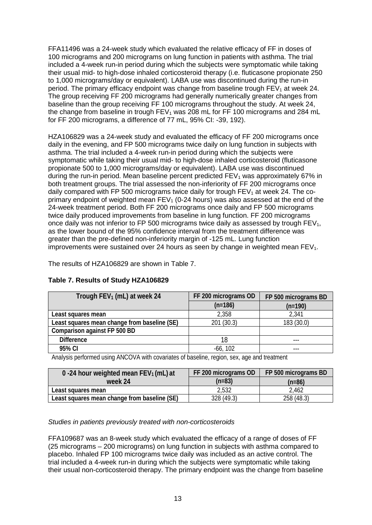FFA11496 was a 24-week study which evaluated the relative efficacy of FF in doses of 100 micrograms and 200 micrograms on lung function in patients with asthma. The trial included a 4-week run-in period during which the subjects were symptomatic while taking their usual mid- to high-dose inhaled corticosteroid therapy (i.e. fluticasone propionate 250 to 1,000 micrograms/day or equivalent). LABA use was discontinued during the run-in period. The primary efficacy endpoint was change from baseline trough  $FEV<sub>1</sub>$  at week 24. The group receiving FF 200 micrograms had generally numerically greater changes from baseline than the group receiving FF 100 micrograms throughout the study. At week 24, the change from baseline in trough  $FEV_1$  was 208 mL for FF 100 micrograms and 284 mL for FF 200 micrograms, a difference of 77 mL, 95% CI: -39, 192).

HZA106829 was a 24-week study and evaluated the efficacy of FF 200 micrograms once daily in the evening, and FP 500 micrograms twice daily on lung function in subjects with asthma. The trial included a 4-week run-in period during which the subjects were symptomatic while taking their usual mid- to high-dose inhaled corticosteroid (fluticasone propionate 500 to 1,000 micrograms/day or equivalent). LABA use was discontinued during the run-in period. Mean baseline percent predicted  $FEV<sub>1</sub>$  was approximately 67% in both treatment groups. The trial assessed the non-inferiority of FF 200 micrograms once daily compared with FP 500 micrograms twice daily for trough  $FEV<sub>1</sub>$  at week 24. The coprimary endpoint of weighted mean  $FEV<sub>1</sub>$  (0-24 hours) was also assessed at the end of the 24-week treatment period. Both FF 200 micrograms once daily and FP 500 micrograms twice daily produced improvements from baseline in lung function. FF 200 micrograms once daily was not inferior to FP 500 micrograms twice daily as assessed by trough  $FEV<sub>1</sub>$ , as the lower bound of the 95% confidence interval from the treatment difference was greater than the pre-defined non-inferiority margin of -125 mL. Lung function improvements were sustained over 24 hours as seen by change in weighted mean  $FEV<sub>1</sub>$ .

The results of HZA106829 are shown in Table 7.

| Trough $FEV_1$ (mL) at week 24               | FF 200 micrograms OD | FP 500 micrograms BD |
|----------------------------------------------|----------------------|----------------------|
|                                              | $(n=186)$            | $(n=190)$            |
| Least squares mean                           | 2,358                | 2,341                |
| Least squares mean change from baseline (SE) | 201 (30.3)           | 183 (30.0)           |
| Comparison against FP 500 BD                 |                      |                      |
| <b>Difference</b>                            | 18                   | ---                  |
| 95% CI                                       | $-66, 102$           |                      |

# **Table 7. Results of Study HZA106829**

Analysis performed using ANCOVA with covariates of baseline, region, sex, age and treatment

| 0 -24 hour weighted mean $FEV1$ (mL) at      | FF 200 micrograms OD | FP 500 micrograms BD |  |
|----------------------------------------------|----------------------|----------------------|--|
| week 24                                      | $(n=83)$             | $(n=86)$             |  |
| Least squares mean                           | 2,532                | 2,462                |  |
| Least squares mean change from baseline (SE) | 328 (49.3)           | 258 (48.3)           |  |

# *Studies in patients previously treated with non-corticosteroids*

FFA109687 was an 8-week study which evaluated the efficacy of a range of doses of FF (25 micrograms – 200 micrograms) on lung function in subjects with asthma compared to placebo. Inhaled FP 100 micrograms twice daily was included as an active control. The trial included a 4-week run-in during which the subjects were symptomatic while taking their usual non-corticosteroid therapy. The primary endpoint was the change from baseline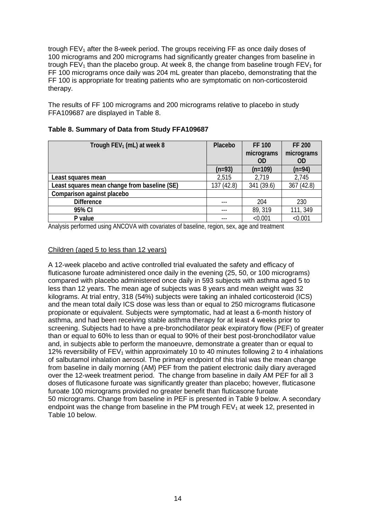trough  $FEV<sub>1</sub>$  after the 8-week period. The groups receiving  $FF$  as once daily doses of 100 micrograms and 200 micrograms had significantly greater changes from baseline in trough FEV<sub>1</sub> than the placebo group. At week 8, the change from baseline trough FEV<sub>1</sub> for FF 100 micrograms once daily was 204 mL greater than placebo, demonstrating that the FF 100 is appropriate for treating patients who are symptomatic on non-corticosteroid therapy.

The results of FF 100 micrograms and 200 micrograms relative to placebo in study FFA109687 are displayed in Table 8.

| Table 8. Summary of Data from Study FFA109687 |  |  |  |
|-----------------------------------------------|--|--|--|
|                                               |  |  |  |

| Trough $FEV_1$ (mL) at week 8                | Placebo    | <b>FF 100</b> | <b>FF 200</b> |
|----------------------------------------------|------------|---------------|---------------|
|                                              |            | micrograms    | micrograms    |
|                                              |            | 0D            | <b>OD</b>     |
|                                              | $(n=93)$   | $(n=109)$     | $(n=94)$      |
| Least squares mean                           | 2,515      | 2,719         | 2,745         |
| Least squares mean change from baseline (SE) | 137 (42.8) | 341 (39.6)    | 367(42.8)     |
| Comparison against placebo                   |            |               |               |
| <b>Difference</b>                            | ---        | 204           | 230           |
| 95% CI                                       |            | 89, 319       | 111, 349      |
| P value                                      |            | < 0.001       | < 0.001       |

Analysis performed using ANCOVA with covariates of baseline, region, sex, age and treatment

### Children (aged 5 to less than 12 years)

A 12-week placebo and active controlled trial evaluated the safety and efficacy of fluticasone furoate administered once daily in the evening (25, 50, or 100 micrograms) compared with placebo administered once daily in 593 subjects with asthma aged 5 to less than 12 years. The mean age of subjects was 8 years and mean weight was 32 kilograms. At trial entry, 318 (54%) subjects were taking an inhaled corticosteroid (ICS) and the mean total daily ICS dose was less than or equal to 250 micrograms fluticasone propionate or equivalent. Subjects were symptomatic, had at least a 6-month history of asthma, and had been receiving stable asthma therapy for at least 4 weeks prior to screening. Subjects had to have a pre-bronchodilator peak expiratory flow (PEF) of greater than or equal to 60% to less than or equal to 90% of their best post-bronchodilator value and, in subjects able to perform the manoeuvre, demonstrate a greater than or equal to 12% reversibility of  $FEV<sub>1</sub>$  within approximately 10 to 40 minutes following 2 to 4 inhalations of salbutamol inhalation aerosol. The primary endpoint of this trial was the mean change from baseline in daily morning (AM) PEF from the patient electronic daily diary averaged over the 12-week treatment period. The change from baseline in daily AM PEF for all 3 doses of fluticasone furoate was significantly greater than placebo; however, fluticasone furoate 100 micrograms provided no greater benefit than fluticasone furoate 50 micrograms. Change from baseline in PEF is presented in Table 9 below. A secondary endpoint was the change from baseline in the PM trough  $FEV<sub>1</sub>$  at week 12, presented in Table 10 below.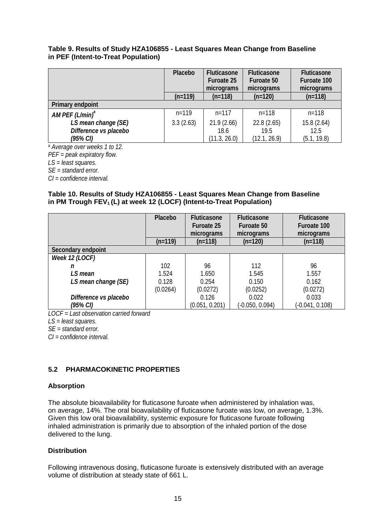#### **Table 9. Results of Study HZA106855 - Least Squares Mean Change from Baseline in PEF (Intent-to-Treat Population)**

|                       | Placebo   | Fluticasone       | <b>Fluticasone</b> | <b>Fluticasone</b> |
|-----------------------|-----------|-------------------|--------------------|--------------------|
|                       |           | <b>Furoate 25</b> | <b>Furoate 50</b>  | Furoate 100        |
|                       |           | micrograms        | micrograms         | micrograms         |
|                       | $(n=119)$ | $(n=118)$         | $(n=120)$          | $(n=118)$          |
| Primary endpoint      |           |                   |                    |                    |
| AM PEF $(L/min)^a$    | $n = 119$ | $n = 117$         | $n = 118$          | $n = 118$          |
| LS mean change (SE)   | 3.3(2.63) | 21.9(2.66)        | 22.8(2.65)         | 15.8(2.64)         |
| Difference vs placebo |           | 18.6              | 19.5               | 12.5               |
| (95% CI)              |           | (11.3, 26.0)      | (12.1, 26.9)       | (5.1, 19.8)        |

*<sup>a</sup> Average over weeks 1 to 12.*

*PEF = peak expiratory flow.*

*LS = least squares.*

*SE = standard error.*

*CI = confidence interval.*

### **Table 10. Results of Study HZA106855 - Least Squares Mean Change from Baseline**  in PM Trough FEV<sub>1</sub> (L) at week 12 (LOCF) (Intent-to-Treat Population)

|                       | Placebo   | Fluticasone<br><b>Furoate 25</b><br>micrograms | <b>Fluticasone</b><br><b>Furoate 50</b><br>micrograms | Fluticasone<br>Furoate 100<br>micrograms |
|-----------------------|-----------|------------------------------------------------|-------------------------------------------------------|------------------------------------------|
|                       | $(n=119)$ | $(n=118)$                                      | $(n=120)$                                             | $(n=118)$                                |
| Secondary endpoint    |           |                                                |                                                       |                                          |
| Week 12 (LOCF)        |           |                                                |                                                       |                                          |
| n                     | 102       | 96                                             | 112                                                   | 96                                       |
| LS mean               | 1.524     | 1.650                                          | 1.545                                                 | 1.557                                    |
| LS mean change (SE)   | 0.128     | 0.254                                          | 0.150                                                 | 0.162                                    |
|                       | (0.0264)  | (0.0272)                                       | (0.0252)                                              | (0.0272)                                 |
| Difference vs placebo |           | 0.126                                          | 0.022                                                 | 0.033                                    |
| (95% CI)              |           | (0.051, 0.201)                                 | $(-0.050, 0.094)$                                     | $(-0.041, 0.108)$                        |

*LOCF = Last observation carried forward*

*LS = least squares.*

*SE = standard error.*

*CI = confidence interval.*

# **5.2 PHARMACOKINETIC PROPERTIES**

# **Absorption**

The absolute bioavailability for fluticasone furoate when administered by inhalation was, on average, 14%. The oral bioavailability of fluticasone furoate was low, on average, 1.3%. Given this low oral bioavailability, systemic exposure for fluticasone furoate following inhaled administration is primarily due to absorption of the inhaled portion of the dose delivered to the lung.

# **Distribution**

Following intravenous dosing, fluticasone furoate is extensively distributed with an average volume of distribution at steady state of 661 L.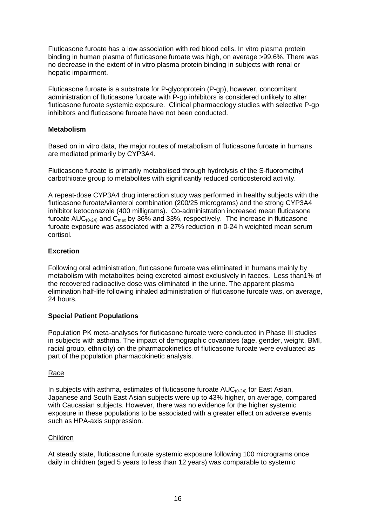Fluticasone furoate has a low association with red blood cells. In vitro plasma protein binding in human plasma of fluticasone furoate was high, on average >99.6%. There was no decrease in the extent of in vitro plasma protein binding in subjects with renal or hepatic impairment.

Fluticasone furoate is a substrate for P-glycoprotein (P-gp), however, concomitant administration of fluticasone furoate with P-gp inhibitors is considered unlikely to alter fluticasone furoate systemic exposure. Clinical pharmacology studies with selective P-gp inhibitors and fluticasone furoate have not been conducted.

### **Metabolism**

Based on in vitro data, the major routes of metabolism of fluticasone furoate in humans are mediated primarily by CYP3A4.

Fluticasone furoate is primarily metabolised through hydrolysis of the S-fluoromethyl carbothioate group to metabolites with significantly reduced corticosteroid activity.

A repeat-dose CYP3A4 drug interaction study was performed in healthy subjects with the fluticasone furoate/vilanterol combination (200/25 micrograms) and the strong CYP3A4 inhibitor ketoconazole (400 milligrams). Co-administration increased mean fluticasone furoate AUC $_{(0.24)}$  and C<sub>max</sub> by 36% and 33%, respectively. The increase in fluticasone furoate exposure was associated with a 27% reduction in 0-24 h weighted mean serum cortisol.

### **Excretion**

Following oral administration, fluticasone furoate was eliminated in humans mainly by metabolism with metabolites being excreted almost exclusively in faeces. Less than1% of the recovered radioactive dose was eliminated in the urine. The apparent plasma elimination half-life following inhaled administration of fluticasone furoate was, on average, 24 hours.

# **Special Patient Populations**

Population PK meta-analyses for fluticasone furoate were conducted in Phase III studies in subjects with asthma. The impact of demographic covariates (age, gender, weight, BMI, racial group, ethnicity) on the pharmacokinetics of fluticasone furoate were evaluated as part of the population pharmacokinetic analysis.

### Race

In subjects with asthma, estimates of fluticasone furoate  $AUC_{(0-24)}$  for East Asian, Japanese and South East Asian subjects were up to 43% higher, on average, compared with Caucasian subjects. However, there was no evidence for the higher systemic exposure in these populations to be associated with a greater effect on adverse events such as HPA-axis suppression.

### Children

At steady state, fluticasone furoate systemic exposure following 100 micrograms once daily in children (aged 5 years to less than 12 years) was comparable to systemic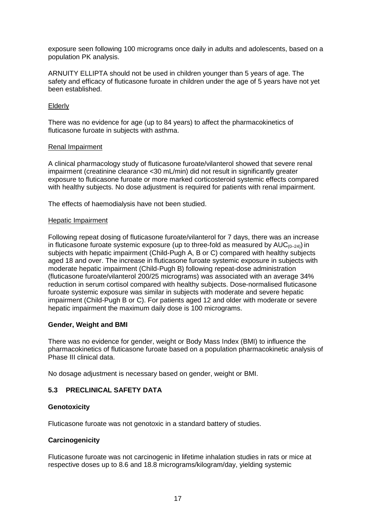exposure seen following 100 micrograms once daily in adults and adolescents, based on a population PK analysis.

ARNUITY ELLIPTA should not be used in children younger than 5 years of age. The safety and efficacy of fluticasone furoate in children under the age of 5 years have not yet been established.

#### Elderly

There was no evidence for age (up to 84 years) to affect the pharmacokinetics of fluticasone furoate in subjects with asthma.

#### Renal Impairment

A clinical pharmacology study of fluticasone furoate/vilanterol showed that severe renal impairment (creatinine clearance <30 mL/min) did not result in significantly greater exposure to fluticasone furoate or more marked corticosteroid systemic effects compared with healthy subjects. No dose adjustment is required for patients with renal impairment.

The effects of haemodialysis have not been studied.

#### Hepatic Impairment

Following repeat dosing of fluticasone furoate/vilanterol for 7 days, there was an increase in fluticasone furoate systemic exposure (up to three-fold as measured by  $AUC_{(0-24)}$ ) in subjects with hepatic impairment (Child-Pugh A, B or C) compared with healthy subjects aged 18 and over. The increase in fluticasone furoate systemic exposure in subjects with moderate hepatic impairment (Child-Pugh B) following repeat-dose administration (fluticasone furoate/vilanterol 200/25 micrograms) was associated with an average 34% reduction in serum cortisol compared with healthy subjects. Dose-normalised fluticasone furoate systemic exposure was similar in subjects with moderate and severe hepatic impairment (Child-Pugh B or C). For patients aged 12 and older with moderate or severe hepatic impairment the maximum daily dose is 100 micrograms.

### **Gender, Weight and BMI**

There was no evidence for gender, weight or Body Mass Index (BMI) to influence the pharmacokinetics of fluticasone furoate based on a population pharmacokinetic analysis of Phase III clinical data.

No dosage adjustment is necessary based on gender, weight or BMI.

### **5.3 PRECLINICAL SAFETY DATA**

### **Genotoxicity**

Fluticasone furoate was not genotoxic in a standard battery of studies.

### **Carcinogenicity**

Fluticasone furoate was not carcinogenic in lifetime inhalation studies in rats or mice at respective doses up to 8.6 and 18.8 micrograms/kilogram/day, yielding systemic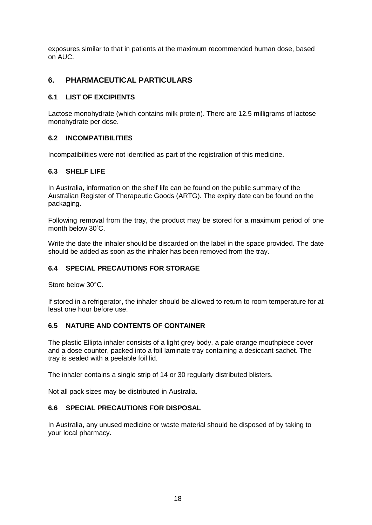exposures similar to that in patients at the maximum recommended human dose, based on AUC.

# **6. PHARMACEUTICAL PARTICULARS**

### **6.1 LIST OF EXCIPIENTS**

Lactose monohydrate (which contains milk protein). There are 12.5 milligrams of lactose monohydrate per dose.

### **6.2 INCOMPATIBILITIES**

Incompatibilities were not identified as part of the registration of this medicine.

### **6.3 SHELF LIFE**

In Australia, information on the shelf life can be found on the public summary of the Australian Register of Therapeutic Goods (ARTG). The expiry date can be found on the packaging.

Following removal from the tray, the product may be stored for a maximum period of one month below 30° C.

Write the date the inhaler should be discarded on the label in the space provided. The date should be added as soon as the inhaler has been removed from the tray.

# **6.4 SPECIAL PRECAUTIONS FOR STORAGE**

Store below 30°C.

If stored in a refrigerator, the inhaler should be allowed to return to room temperature for at least one hour before use.

### **6.5 NATURE AND CONTENTS OF CONTAINER**

The plastic Ellipta inhaler consists of a light grey body, a pale orange mouthpiece cover and a dose counter, packed into a foil laminate tray containing a desiccant sachet. The tray is sealed with a peelable foil lid.

The inhaler contains a single strip of 14 or 30 regularly distributed blisters.

Not all pack sizes may be distributed in Australia.

### **6.6 SPECIAL PRECAUTIONS FOR DISPOSAL**

In Australia, any unused medicine or waste material should be disposed of by taking to your local pharmacy.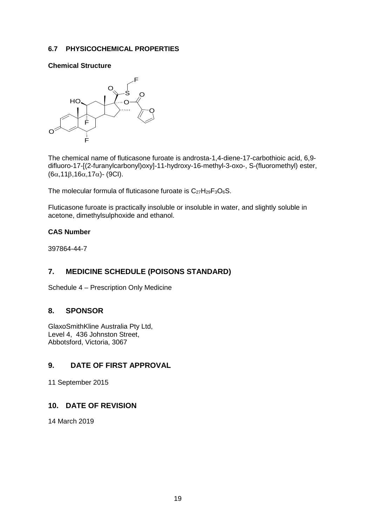#### **6.7 PHYSICOCHEMICAL PROPERTIES**

#### **Chemical Structure**



The chemical name of fluticasone furoate is androsta-1,4-diene-17-carbothioic acid, 6,9 difluoro-17-[(2-furanylcarbonyl)oxy]-11-hydroxy-16-methyl-3-oxo-, S-(fluoromethyl) ester, (6α,11β,16α,17α)- (9CI).

The molecular formula of fluticasone furoate is  $C_{27}H_{29}F_3O_6S$ .

Fluticasone furoate is practically insoluble or insoluble in water, and slightly soluble in acetone, dimethylsulphoxide and ethanol.

### **CAS Number**

397864-44-7

# **7. MEDICINE SCHEDULE (POISONS STANDARD)**

Schedule 4 – Prescription Only Medicine

### **8. SPONSOR**

GlaxoSmithKline Australia Pty Ltd, Level 4, 436 Johnston Street, Abbotsford, Victoria, 3067

# **9. DATE OF FIRST APPROVAL**

11 September 2015

# **10. DATE OF REVISION**

14 March 2019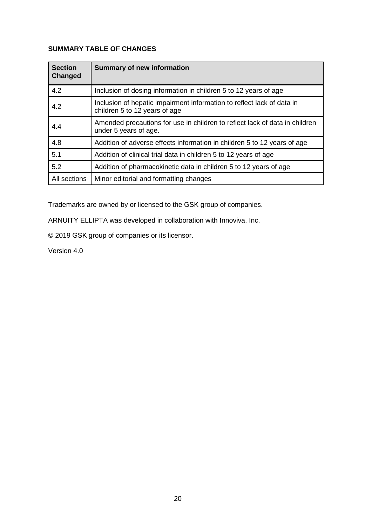# **SUMMARY TABLE OF CHANGES**

| <b>Section</b><br>Changed | <b>Summary of new information</b>                                                                       |
|---------------------------|---------------------------------------------------------------------------------------------------------|
| 4.2                       | Inclusion of dosing information in children 5 to 12 years of age                                        |
| 4.2                       | Inclusion of hepatic impairment information to reflect lack of data in<br>children 5 to 12 years of age |
| 4.4                       | Amended precautions for use in children to reflect lack of data in children<br>under 5 years of age.    |
| 4.8                       | Addition of adverse effects information in children 5 to 12 years of age                                |
| 5.1                       | Addition of clinical trial data in children 5 to 12 years of age                                        |
| 5.2                       | Addition of pharmacokinetic data in children 5 to 12 years of age                                       |
| All sections              | Minor editorial and formatting changes                                                                  |

Trademarks are owned by or licensed to the GSK group of companies.

ARNUITY ELLIPTA was developed in collaboration with Innoviva, Inc.

© 2019 GSK group of companies or its licensor.

Version 4.0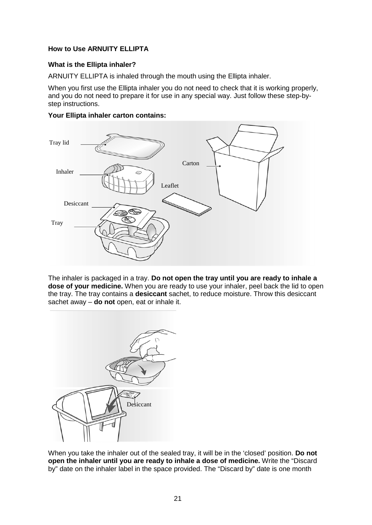### **How to Use ARNUITY ELLIPTA**

### **What is the Ellipta inhaler?**

ARNUITY ELLIPTA is inhaled through the mouth using the Ellipta inhaler.

When you first use the Ellipta inhaler you do not need to check that it is working properly, and you do not need to prepare it for use in any special way. Just follow these step-bystep instructions.





The inhaler is packaged in a tray. **Do not open the tray until you are ready to inhale a dose of your medicine.** When you are ready to use your inhaler, peel back the lid to open the tray. The tray contains a **desiccant** sachet, to reduce moisture. Throw this desiccant sachet away – **do not** open, eat or inhale it.



When you take the inhaler out of the sealed tray, it will be in the 'closed' position. **Do not open the inhaler until you are ready to inhale a dose of medicine.** Write the "Discard by" date on the inhaler label in the space provided. The "Discard by" date is one month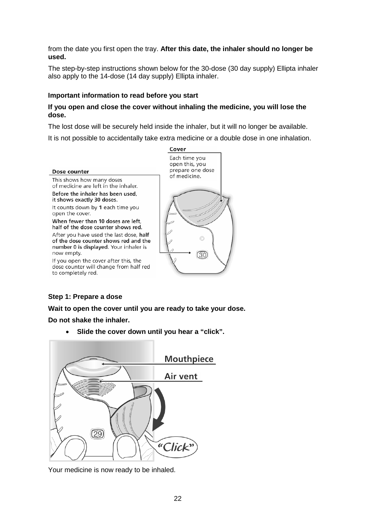from the date you first open the tray. **After this date, the inhaler should no longer be used.**

The step-by-step instructions shown below for the 30-dose (30 day supply) Ellipta inhaler also apply to the 14-dose (14 day supply) Ellipta inhaler.

### **Important information to read before you start**

### **If you open and close the cover without inhaling the medicine, you will lose the dose.**

The lost dose will be securely held inside the inhaler, but it will no longer be available.

It is not possible to accidentally take extra medicine or a double dose in one inhalation.



### **Step 1: Prepare a dose**

**Wait to open the cover until you are ready to take your dose.** 

**Do not shake the inhaler.**

• **Slide the cover down until you hear a "click".**



Your medicine is now ready to be inhaled.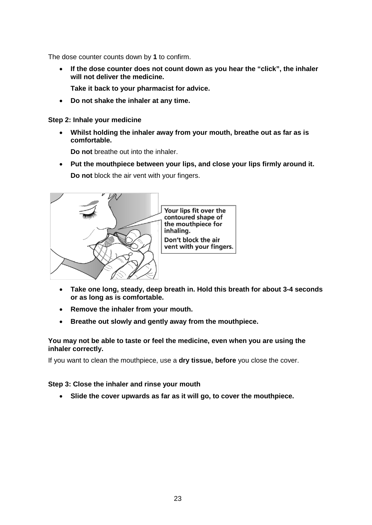The dose counter counts down by **1** to confirm.

- **If the dose counter does not count down as you hear the "click", the inhaler will not deliver the medicine.** 
	- **Take it back to your pharmacist for advice.**
- **Do not shake the inhaler at any time.**

**Step 2: Inhale your medicine**

• **Whilst holding the inhaler away from your mouth, breathe out as far as is comfortable.** 

**Do not** breathe out into the inhaler.

• **Put the mouthpiece between your lips, and close your lips firmly around it. Do not** block the air vent with your fingers.



- **Take one long, steady, deep breath in. Hold this breath for about 3-4 seconds or as long as is comfortable.**
- **Remove the inhaler from your mouth.**
- **Breathe out slowly and gently away from the mouthpiece.**

### **You may not be able to taste or feel the medicine, even when you are using the inhaler correctly.**

If you want to clean the mouthpiece, use a **dry tissue, before** you close the cover.

### **Step 3: Close the inhaler and rinse your mouth**

• **Slide the cover upwards as far as it will go, to cover the mouthpiece.**